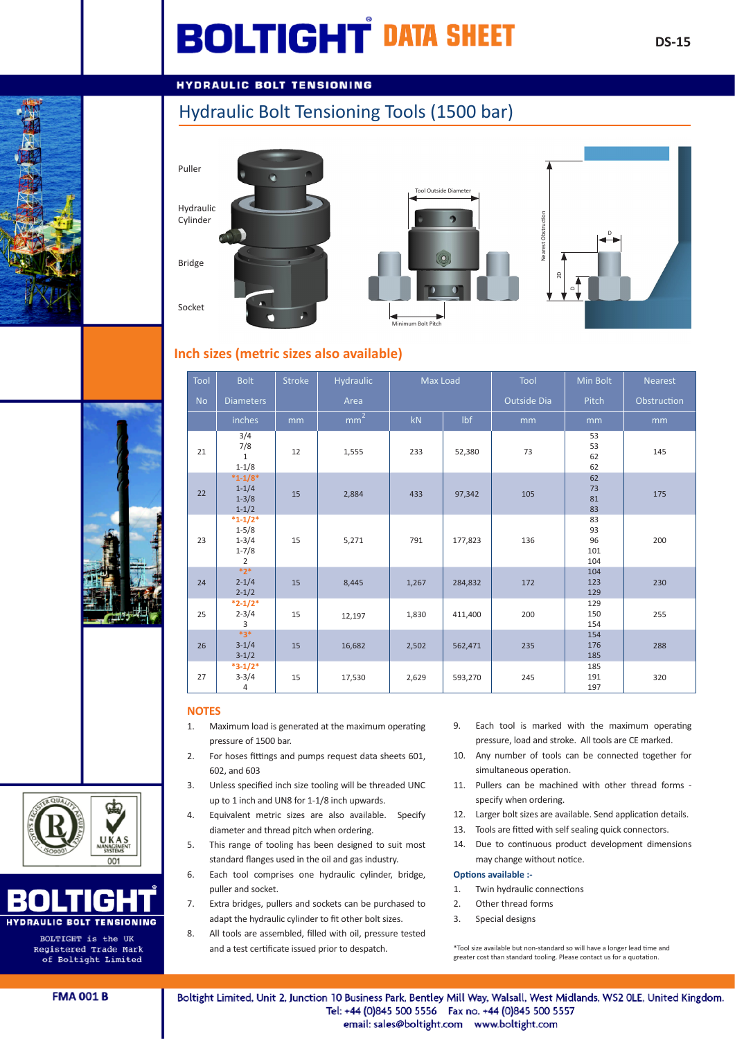# **BOLTIGHT DATA SHEET**

## **HYDRAULIC BOLT TENSIONING**

## Hydraulic Bolt Tensioning Tools (1500 bar)









## **Inch sizes (metric sizes also available)**

| Tool      | <b>Bolt</b>                                                          | <b>Stroke</b> | <b>Hydraulic</b>  | Max Load |         | Tool        | Min Bolt                     | <b>Nearest</b> |
|-----------|----------------------------------------------------------------------|---------------|-------------------|----------|---------|-------------|------------------------------|----------------|
| <b>No</b> | <b>Diameters</b>                                                     |               | Area              |          |         | Outside Dia | Pitch                        | Obstruction    |
|           | inches                                                               | mm            | $\overline{mm^2}$ | kN       | Ibf     | mm          | mm                           | mm             |
| 21        | 3/4<br>7/8<br>$\mathbf{1}$<br>$1 - 1/8$                              | 12            | 1,555             | 233      | 52,380  | 73          | 53<br>53<br>62<br>62         | 145            |
| 22        | $*1-1/8*$<br>$1 - 1/4$<br>$1 - 3/8$<br>$1 - 1/2$                     | 15            | 2,884             | 433      | 97,342  | 105         | 62<br>73<br>81<br>83         | 175            |
| 23        | $*1 - 1/2*$<br>$1 - 5/8$<br>$1 - 3/4$<br>$1 - 7/8$<br>$\overline{2}$ | 15            | 5,271             | 791      | 177,823 | 136         | 83<br>93<br>96<br>101<br>104 | 200            |
| 24        | $*2*$<br>$2 - 1/4$<br>$2 - 1/2$                                      | 15            | 8,445             | 1,267    | 284,832 | 172         | 104<br>123<br>129            | 230            |
| 25        | $*2-1/2*$<br>$2 - 3/4$<br>3                                          | 15            | 12,197            | 1,830    | 411,400 | 200         | 129<br>150<br>154            | 255            |
| 26        | $*3*$<br>$3 - 1/4$<br>$3 - 1/2$                                      | 15            | 16,682            | 2,502    | 562,471 | 235         | 154<br>176<br>185            | 288            |
| 27        | $*3-1/2*$<br>$3 - 3/4$<br>4                                          | 15            | 17,530            | 2,629    | 593,270 | 245         | 185<br>191<br>197            | 320            |

#### **NOTES**

- 1. Maximum load is generated at the maximum operating pressure of 1500 bar.
- 2. For hoses fittings and pumps request data sheets 601, 602, and 603
- 3. Unless specified inch size tooling will be threaded UNC up to 1 inch and UN8 for 1-1/8 inch upwards.
- 4. Equivalent metric sizes are also available. Specify diameter and thread pitch when ordering.
- 5. This range of tooling has been designed to suit most standard flanges used in the oil and gas industry.
- 6. Each tool comprises one hydraulic cylinder, bridge, puller and socket.
- 7. Extra bridges, pullers and sockets can be purchased to adapt the hydraulic cylinder to fit other bolt sizes.
- 8. All tools are assembled, filled with oil, pressure tested and a test certificate issued prior to despatch.
- 9. Each tool is marked with the maximum operating pressure, load and stroke. All tools are CE marked.
- 10. Any number of tools can be connected together for simultaneous operation.
- 11. Pullers can be machined with other thread forms specify when ordering.
- 12. Larger bolt sizes are available. Send application details.
- 13. Tools are fitted with self sealing quick connectors.
- 14. Due to continuous product development dimensions may change without notice.

#### **Options available :-**

- 1. Twin hydraulic connections
- 2. Other thread forms
- 3. Special designs

\*Tool size available but non-standard so will have a longer lead time and greater cost than standard tooling. Please contact us for a quotation.





Registered Trade Mark of Boltight Limited

**FMA 001 B** 

Boltight Limited, Unit 2, Junction 10 Business Park, Bentley Mill Way, Walsall, West Midlands, WS2 OLE, United Kingdom. Tel: +44 (0)845 500 5556 Fax no. +44 (0)845 500 5557 email: sales@boltight.com www.boltight.com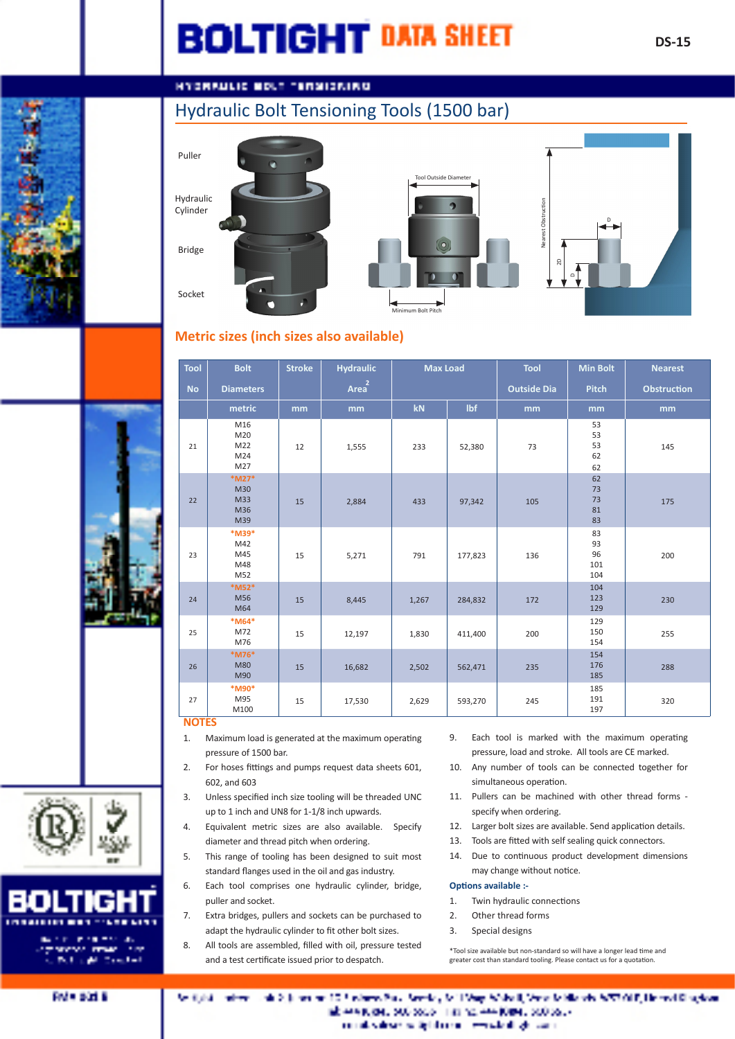## **BOLTIGHT DATA SHEET**

## **HYDRAULIC BOLT TERMIDATAG**

## Hydraulic Bolt Tensioning Tools (1500 bar)

Bridge







### **Metric sizes (inch sizes also available)**

| <b>Tool</b> | <b>Bolt</b>                       | <b>Stroke</b> | <b>Hydraulic</b>  | <b>Max Load</b> |         | <b>Tool</b>        | <b>Min Bolt</b>              | <b>Nearest</b>     |
|-------------|-----------------------------------|---------------|-------------------|-----------------|---------|--------------------|------------------------------|--------------------|
| <b>No</b>   | <b>Diameters</b>                  |               | Area <sup>2</sup> |                 |         | <b>Outside Dia</b> | <b>Pitch</b>                 | <b>Obstruction</b> |
|             | metric                            | mm            | mm                | kN              | lbf     | mm                 | mm                           | mm                 |
| 21          | M16<br>M20<br>M22<br>M24<br>M27   | 12            | 1,555             | 233             | 52,380  | 73                 | 53<br>53<br>53<br>62<br>62   | 145                |
| 22          | *M27*<br>M30<br>M33<br>M36<br>M39 | 15            | 2,884             | 433             | 97,342  | 105                | 62<br>73<br>73<br>81<br>83   | 175                |
| 23          | *M39*<br>M42<br>M45<br>M48<br>M52 | 15            | 5,271             | 791             | 177,823 | 136                | 83<br>93<br>96<br>101<br>104 | 200                |
| 24          | *M52*<br>M56<br>M64               | 15            | 8,445             | 1,267           | 284,832 | 172                | 104<br>123<br>129            | 230                |
| 25          | *M64*<br>M72<br>M76               | 15            | 12,197            | 1,830           | 411,400 | 200                | 129<br>150<br>154            | 255                |
| 26          | *M76*<br><b>M80</b><br>M90        | 15            | 16,682            | 2,502           | 562,471 | 235                | 154<br>176<br>185            | 288                |
| 27          | *M90*<br>M95<br>M100              | 15            | 17,530            | 2,629           | 593,270 | 245                | 185<br>191<br>197            | 320                |

#### **NOTES**

- 1. Maximum load is generated at the maximum operating pressure of 1500 bar.
- 2. For hoses fittings and pumps request data sheets 601, 602, and 603
- 3. Unless specified inch size tooling will be threaded UNC up to 1 inch and UN8 for 1-1/8 inch upwards.
- 4. Equivalent metric sizes are also available. Specify diameter and thread pitch when ordering.
- 5. This range of tooling has been designed to suit most standard flanges used in the oil and gas industry.
- 6. Each tool comprises one hydraulic cylinder, bridge, puller and socket.
- 7. Extra bridges, pullers and sockets can be purchased to adapt the hydraulic cylinder to fit other bolt sizes.
- 8. All tools are assembled, filled with oil, pressure tested and a test certificate issued prior to despatch.
- 9. Each tool is marked with the maximum operating pressure, load and stroke. All tools are CE marked.
- 10. Any number of tools can be connected together for simultaneous operation.
- 11. Pullers can be machined with other thread forms specify when ordering.
- 12. Larger bolt sizes are available. Send application details.
- 13. Tools are fitted with self sealing quick connectors.
- 14. Due to continuous product development dimensions may change without notice.

#### **Options available :-**

- 1. Twin hydraulic connections
- 2. Other thread forms
- 3. Special designs

\*Tool size available but non-standard so will have a longer lead time and<br>greater cost than standard tooling. Please contact us for a quotation.



المحاربين والأ

de 2, juneiro 10, fundares Paul Service, MIL Vage Mobell, Versa Millionis APVI (18, 18 met Claudian **March and** ab envision, 500 poder into no envisioner, 500 poder consideration by the contract and given